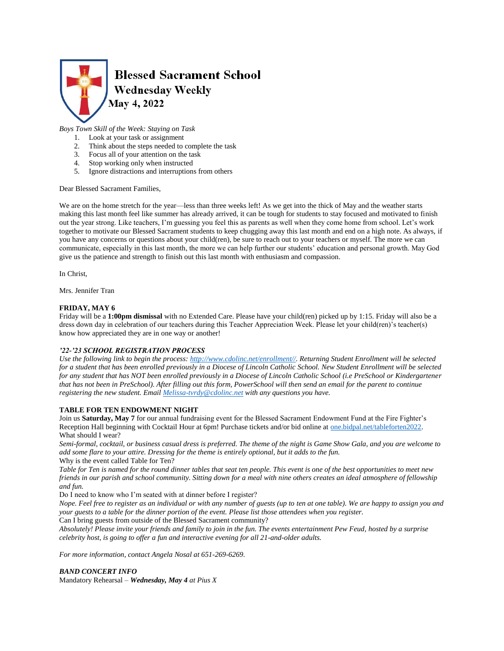

# *Boys Town Skill of the Week: Staying on Task*

- 1. Look at your task or assignment
- 2. Think about the steps needed to complete the task
- 3. Focus all of your attention on the task
- 4. Stop working only when instructed
- 5. Ignore distractions and interruptions from others

Dear Blessed Sacrament Families,

We are on the home stretch for the year—less than three weeks left! As we get into the thick of May and the weather starts making this last month feel like summer has already arrived, it can be tough for students to stay focused and motivated to finish out the year strong. Like teachers, I'm guessing you feel this as parents as well when they come home from school. Let's work together to motivate our Blessed Sacrament students to keep chugging away this last month and end on a high note. As always, if you have any concerns or questions about your child(ren), be sure to reach out to your teachers or myself. The more we can communicate, especially in this last month, the more we can help further our students' education and personal growth. May God give us the patience and strength to finish out this last month with enthusiasm and compassion.

In Christ,

Mrs. Jennifer Tran

## **FRIDAY, MAY 6**

Friday will be a **1:00pm dismissal** with no Extended Care. Please have your child(ren) picked up by 1:15. Friday will also be a dress down day in celebration of our teachers during this Teacher Appreciation Week. Please let your child(ren)'s teacher(s) know how appreciated they are in one way or another!

# *'22-'23 SCHOOL REGISTRATION PROCESS*

*Use the following link to begin the process: [http://www.cdolinc.net/enrollment//.](http://www.cdolinc.net/enrollment/) Returning Student Enrollment will be selected for a student that has been enrolled previously in a Diocese of Lincoln Catholic School. New Student Enrollment will be selected for any student that has NOT been enrolled previously in a Diocese of Lincoln Catholic School (i.e PreSchool or Kindergartener that has not been in PreSchool). After filling out this form, PowerSchool will then send an email for the parent to continue registering the new student. Email [Melissa-tvrdy@cdolinc.net](mailto:Melissa-tvrdy@cdolinc.net) with any questions you have.*

#### **TABLE FOR TEN ENDOWMENT NIGHT**

Join us **Saturday, May 7** for our annual fundraising event for the Blessed Sacrament Endowment Fund at the Fire Fighter's Reception Hall beginning with Cocktail Hour at 6pm! Purchase tickets and/or bid online a[t one.bidpal.net/tableforten2022.](one.bidpal.net/tableforten2022) What should I wear?

*Semi-formal, cocktail, or business casual dress is preferred. The theme of the night is Game Show Gala, and you are welcome to add some flare to your attire. Dressing for the theme is entirely optional, but it adds to the fun.* Why is the event called Table for Ten?

*Table for Ten is named for the round dinner tables that seat ten people. This event is one of the best opportunities to meet new friends in our parish and school community. Sitting down for a meal with nine others creates an ideal atmosphere of fellowship and fun.*

Do I need to know who I'm seated with at dinner before I register?

*Nope. Feel free to register as an individual or with any number of guests (up to ten at one table). We are happy to assign you and your guests to a table for the dinner portion of the event. Please list those attendees when you register.*

Can I bring guests from outside of the Blessed Sacrament community?

*Absolutely! Please invite your friends and family to join in the fun. The events entertainment Pew Feud, hosted by a surprise celebrity host, is going to offer a fun and interactive evening for all 21-and-older adults.*

*For more information, contact Angela Nosal at 651-269-6269.*

*BAND CONCERT INFO*

Mandatory Rehearsal *– Wednesday, May 4 at Pius X*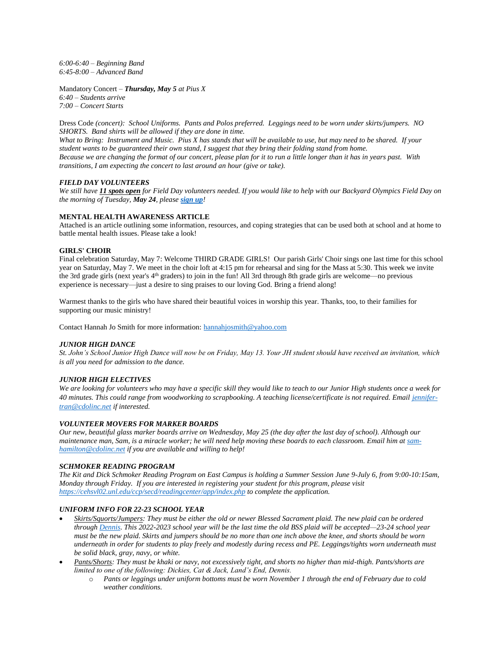*6:00-6:40 – Beginning Band 6:45-8:00 – Advanced Band*

Mandatory Concert *– Thursday, May 5 at Pius X 6:40 – Students arrive 7:00 – Concert Starts*

Dress Code *(concert): School Uniforms. Pants and Polos preferred. Leggings need to be worn under skirts/jumpers. NO SHORTS. Band shirts will be allowed if they are done in time. What to Bring: Instrument and Music. Pius X has stands that will be available to use, but may need to be shared. If your student wants to be guaranteed their own stand, I suggest that they bring their folding stand from home.*

*Because we are changing the format of our concert, please plan for it to run a little longer than it has in years past. With transitions, I am expecting the concert to last around an hour (give or take).*

# *FIELD DAY VOLUNTEERS*

*We still have 11 spots open for Field Day volunteers needed. If you would like to help with our Backyard Olympics Field Day on the morning of Tuesday, May 24, please [sign up](https://www.signupgenius.com/go/805084CAFAE23A5FB6-field)!*

## **MENTAL HEALTH AWARENESS ARTICLE**

Attached is an article outlining some information, resources, and coping strategies that can be used both at school and at home to battle mental health issues. Please take a look!

# **GIRLS' CHOIR**

Final celebration Saturday, May 7: Welcome THIRD GRADE GIRLS! Our parish Girls' Choir sings one last time for this school year on Saturday, May 7. We meet in the choir loft at 4:15 pm for rehearsal and sing for the Mass at 5:30. This week we invite the 3rd grade girls (next year's 4<sup>th</sup> graders) to join in the fun! All 3rd through 8th grade girls are welcome—no previous experience is necessary—just a desire to sing praises to our loving God. Bring a friend along!

Warmest thanks to the girls who have shared their beautiful voices in worship this year. Thanks, too, to their families for supporting our music ministry!

Contact Hannah Jo Smith for more information: [hannahjosmith@yahoo.com](mailto:hannahjosmith@yahoo.com)

#### *JUNIOR HIGH DANCE*

*St. John's School Junior High Dance will now be on Friday, May 13. Your JH student should have received an invitation, which is all you need for admission to the dance.*

#### *JUNIOR HIGH ELECTIVES*

*We are looking for volunteers who may have a specific skill they would like to teach to our Junior High students once a week for 40 minutes. This could range from woodworking to scrapbooking. A teaching license/certificate is not required. Emai[l jennifer](mailto:jennifer-tran@cdolinc.net)[tran@cdolinc.net](mailto:jennifer-tran@cdolinc.net) if interested.* 

#### *VOLUNTEER MOVERS FOR MARKER BOARDS*

*Our new, beautiful glass marker boards arrive on Wednesday, May 25 (the day after the last day of school). Although our*  maintenance man, Sam, is a miracle worker; he will need help moving these boards to each classroom. Email him a[t sam](mailto:sam-hamilton@cdolinc.net)*[hamilton@cdolinc.net](mailto:sam-hamilton@cdolinc.net) if you are available and willing to help!*

#### *SCHMOKER READING PROGRAM*

*The Kit and Dick Schmoker Reading Program on East Campus is holding a Summer Session June 9-July 6, from 9:00-10:15am, Monday through Friday. If you are interested in registering your student for this program, please visit <https://cehsvl02.unl.edu/ccp/secd/readingcenter/app/index.php> to complete the application.*

#### *UNIFORM INFO FOR 22-23 SCHOOL YEAR*

- *Skirts/Squorts/Jumpers: They must be either the old or newer Blessed Sacrament plaid. The new plaid can be ordered throug[h Dennis.](https://www.dennisuniform.com/schools/PBL) This 2022-2023 school year will be the last time the old BSS plaid will be accepted—23-24 school year must be the new plaid. Skirts and jumpers should be no more than one inch above the knee, and shorts should be worn underneath in order for students to play freely and modestly during recess and PE. Leggings/tights worn underneath must be solid black, gray, navy, or white.*
- *Pants/Shorts: They must be khaki or navy, not excessively tight, and shorts no higher than mid-thigh. Pants/shorts are limited to one of the following: Dickies, Cat & Jack, Land's End, Dennis.* 
	- o *Pants or leggings under uniform bottoms must be worn November 1 through the end of February due to cold weather conditions.*